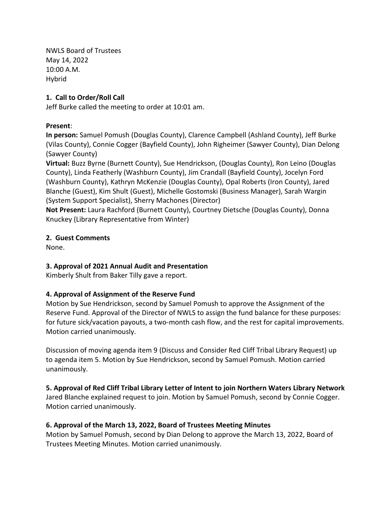NWLS Board of Trustees May 14, 2022 10:00 A.M. Hybrid

#### **1. Call to Order/Roll Call**

Jeff Burke called the meeting to order at 10:01 am.

#### **Present**:

**In person:** Samuel Pomush (Douglas County), Clarence Campbell (Ashland County), Jeff Burke (Vilas County), Connie Cogger (Bayfield County), John Righeimer (Sawyer County), Dian Delong (Sawyer County)

**Virtual:** Buzz Byrne (Burnett County), Sue Hendrickson, (Douglas County), Ron Leino (Douglas County), Linda Featherly (Washburn County), Jim Crandall (Bayfield County), Jocelyn Ford (Washburn County), Kathryn McKenzie (Douglas County), Opal Roberts (Iron County), Jared Blanche (Guest), Kim Shult (Guest), Michelle Gostomski (Business Manager), Sarah Wargin (System Support Specialist), Sherry Machones (Director)

**Not Present:** Laura Rachford (Burnett County), Courtney Dietsche (Douglas County), Donna Knuckey (Library Representative from Winter)

#### **2. Guest Comments**

None.

### **3. Approval of 2021 Annual Audit and Presentation**

Kimberly Shult from Baker Tilly gave a report.

### **4. Approval of Assignment of the Reserve Fund**

Motion by Sue Hendrickson, second by Samuel Pomush to approve the Assignment of the Reserve Fund. Approval of the Director of NWLS to assign the fund balance for these purposes: for future sick/vacation payouts, a two-month cash flow, and the rest for capital improvements. Motion carried unanimously.

Discussion of moving agenda item 9 (Discuss and Consider Red Cliff Tribal Library Request) up to agenda item 5. Motion by Sue Hendrickson, second by Samuel Pomush. Motion carried unanimously.

### **5. Approval of Red Cliff Tribal Library Letter of Intent to join Northern Waters Library Network**

Jared Blanche explained request to join. Motion by Samuel Pomush, second by Connie Cogger. Motion carried unanimously.

### **6. Approval of the March 13, 2022, Board of Trustees Meeting Minutes**

Motion by Samuel Pomush, second by Dian Delong to approve the March 13, 2022, Board of Trustees Meeting Minutes. Motion carried unanimously.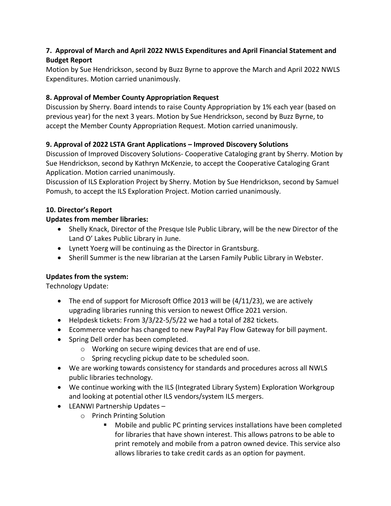# **7. Approval of March and April 2022 NWLS Expenditures and April Financial Statement and Budget Report**

Motion by Sue Hendrickson, second by Buzz Byrne to approve the March and April 2022 NWLS Expenditures. Motion carried unanimously.

# **8. Approval of Member County Appropriation Request**

Discussion by Sherry. Board intends to raise County Appropriation by 1% each year (based on previous year) for the next 3 years. Motion by Sue Hendrickson, second by Buzz Byrne, to accept the Member County Appropriation Request. Motion carried unanimously.

# **9. Approval of 2022 LSTA Grant Applications – Improved Discovery Solutions**

Discussion of Improved Discovery Solutions- Cooperative Cataloging grant by Sherry. Motion by Sue Hendrickson, second by Kathryn McKenzie, to accept the Cooperative Cataloging Grant Application. Motion carried unanimously.

Discussion of ILS Exploration Project by Sherry. Motion by Sue Hendrickson, second by Samuel Pomush, to accept the ILS Exploration Project. Motion carried unanimously.

# **10. Director's Report**

# **Updates from member libraries:**

- Shelly Knack, Director of the Presque Isle Public Library, will be the new Director of the Land O' Lakes Public Library in June.
- Lynett Yoerg will be continuing as the Director in Grantsburg.
- Sherill Summer is the new librarian at the Larsen Family Public Library in Webster.

# **Updates from the system:**

Technology Update:

- The end of support for Microsoft Office 2013 will be (4/11/23), we are actively upgrading libraries running this version to newest Office 2021 version.
- Helpdesk tickets: From 3/3/22-5/5/22 we had a total of 282 tickets.
- Ecommerce vendor has changed to new PayPal Pay Flow Gateway for bill payment.
- Spring Dell order has been completed.
	- o Working on secure wiping devices that are end of use.
	- o Spring recycling pickup date to be scheduled soon.
- We are working towards consistency for standards and procedures across all NWLS public libraries technology.
- We continue working with the ILS (Integrated Library System) Exploration Workgroup and looking at potential other ILS vendors/system ILS mergers.
- LEANWI Partnership Updates
	- o Princh Printing Solution
		- Mobile and public PC printing services installations have been completed for libraries that have shown interest. This allows patrons to be able to print remotely and mobile from a patron owned device. This service also allows libraries to take credit cards as an option for payment.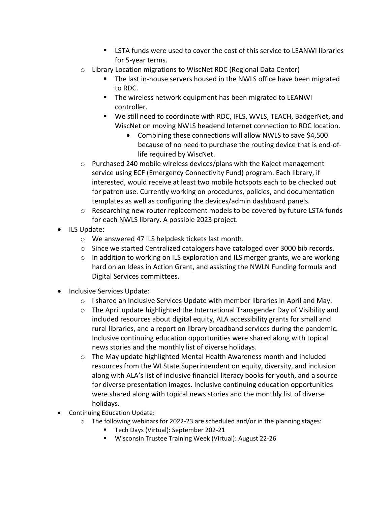- LSTA funds were used to cover the cost of this service to LEANWI libraries for 5-year terms.
- o Library Location migrations to WiscNet RDC (Regional Data Center)
	- The last in-house servers housed in the NWLS office have been migrated to RDC.
	- The wireless network equipment has been migrated to LEANWI controller.
	- We still need to coordinate with RDC, IFLS, WVLS, TEACH, BadgerNet, and WiscNet on moving NWLS headend Internet connection to RDC location.
		- Combining these connections will allow NWLS to save \$4,500 because of no need to purchase the routing device that is end-oflife required by WiscNet.
- $\circ$  Purchased 240 mobile wireless devices/plans with the Kajeet management service using ECF (Emergency Connectivity Fund) program. Each library, if interested, would receive at least two mobile hotspots each to be checked out for patron use. Currently working on procedures, policies, and documentation templates as well as configuring the devices/admin dashboard panels.
- o Researching new router replacement models to be covered by future LSTA funds for each NWLS library. A possible 2023 project.
- ILS Update:
	- o We answered 47 ILS helpdesk tickets last month.
	- o Since we started Centralized catalogers have cataloged over 3000 bib records.
	- $\circ$  In addition to working on ILS exploration and ILS merger grants, we are working hard on an Ideas in Action Grant, and assisting the NWLN Funding formula and Digital Services committees.
- Inclusive Services Update:
	- $\circ$  I shared an Inclusive Services Update with member libraries in April and May.
	- $\circ$  The April update highlighted the International Transgender Day of Visibility and included resources about digital equity, ALA accessibility grants for small and rural libraries, and a report on library broadband services during the pandemic. Inclusive continuing education opportunities were shared along with topical news stories and the monthly list of diverse holidays.
	- $\circ$  The May update highlighted Mental Health Awareness month and included resources from the WI State Superintendent on equity, diversity, and inclusion along with ALA's list of inclusive financial literacy books for youth, and a source for diverse presentation images. Inclusive continuing education opportunities were shared along with topical news stories and the monthly list of diverse holidays.
- Continuing Education Update:
	- $\circ$  The following webinars for 2022-23 are scheduled and/or in the planning stages:
		- Tech Days (Virtual): September 202-21
		- Wisconsin Trustee Training Week (Virtual): August 22-26